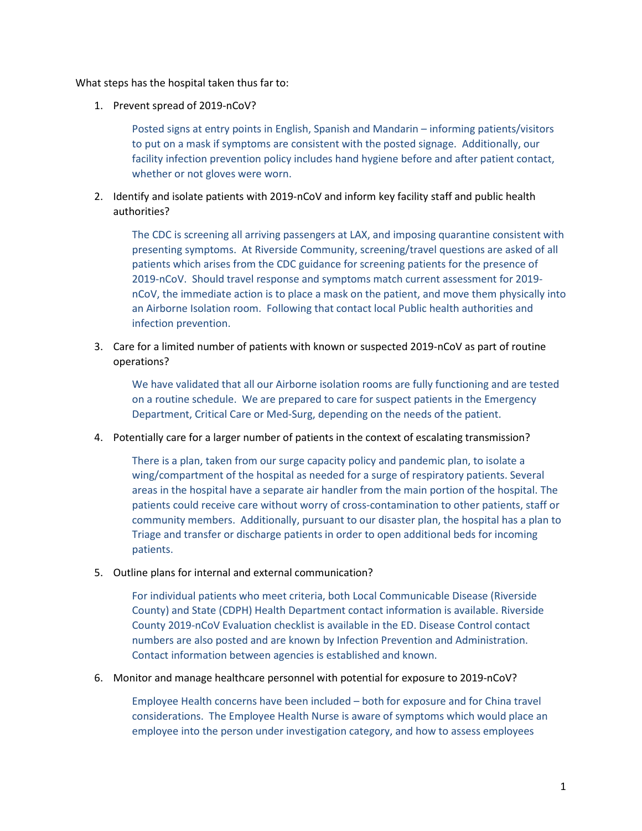What steps has the hospital taken thus far to:

1. Prevent spread of 2019-nCoV?

Posted signs at entry points in English, Spanish and Mandarin – informing patients/visitors to put on a mask if symptoms are consistent with the posted signage. Additionally, our facility infection prevention policy includes hand hygiene before and after patient contact, whether or not gloves were worn.

2. Identify and isolate patients with 2019-nCoV and inform key facility staff and public health authorities?

The CDC is screening all arriving passengers at LAX, and imposing quarantine consistent with presenting symptoms. At Riverside Community, screening/travel questions are asked of all patients which arises from the CDC guidance for screening patients for the presence of 2019-nCoV. Should travel response and symptoms match current assessment for 2019 nCoV, the immediate action is to place a mask on the patient, and move them physically into an Airborne Isolation room. Following that contact local Public health authorities and infection prevention.

3. Care for a limited number of patients with known or suspected 2019-nCoV as part of routine operations?

We have validated that all our Airborne isolation rooms are fully functioning and are tested on a routine schedule. We are prepared to care for suspect patients in the Emergency Department, Critical Care or Med-Surg, depending on the needs of the patient.

4. Potentially care for a larger number of patients in the context of escalating transmission?

There is a plan, taken from our surge capacity policy and pandemic plan, to isolate a wing/compartment of the hospital as needed for a surge of respiratory patients. Several areas in the hospital have a separate air handler from the main portion of the hospital. The patients could receive care without worry of cross-contamination to other patients, staff or community members. Additionally, pursuant to our disaster plan, the hospital has a plan to Triage and transfer or discharge patients in order to open additional beds for incoming patients.

5. Outline plans for internal and external communication?

For individual patients who meet criteria, both Local Communicable Disease (Riverside County) and State (CDPH) Health Department contact information is available. Riverside County 2019-nCoV Evaluation checklist is available in the ED. Disease Control contact numbers are also posted and are known by Infection Prevention and Administration. Contact information between agencies is established and known.

6. Monitor and manage healthcare personnel with potential for exposure to 2019-nCoV?

Employee Health concerns have been included – both for exposure and for China travel considerations. The Employee Health Nurse is aware of symptoms which would place an employee into the person under investigation category, and how to assess employees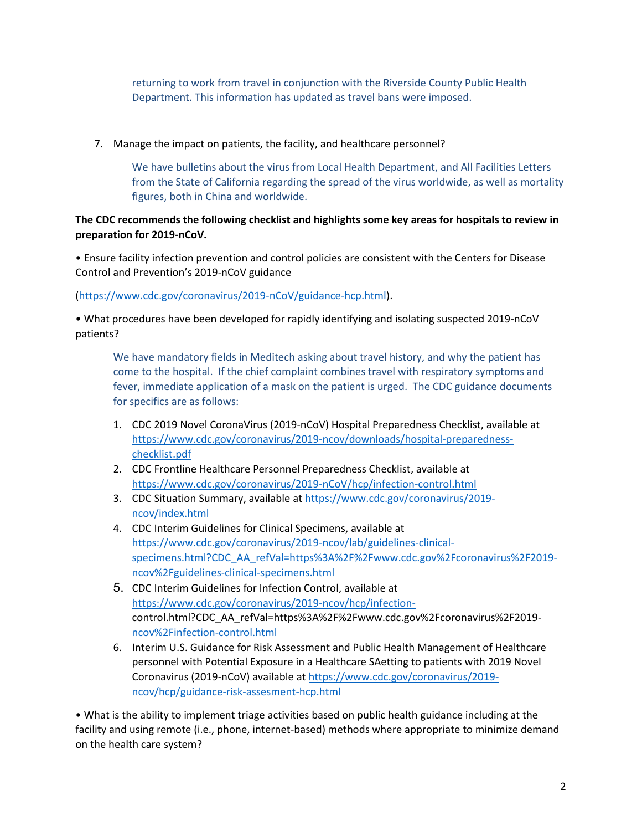returning to work from travel in conjunction with the Riverside County Public Health Department. This information has updated as travel bans were imposed.

7. Manage the impact on patients, the facility, and healthcare personnel?

We have bulletins about the virus from Local Health Department, and All Facilities Letters from the State of California regarding the spread of the virus worldwide, as well as mortality figures, both in China and worldwide.

## **The CDC recommends the following checklist and highlights some key areas for hospitals to review in preparation for 2019-nCoV.**

• Ensure facility infection prevention and control policies are consistent with the Centers for Disease Control and Prevention's 2019-nCoV guidance

[\(https://www.cdc.gov/coronavirus/2019-nCoV/guidance-hcp.html\)](https://www.cdc.gov/coronavirus/2019-nCoV/guidance-hcp.html).

• What procedures have been developed for rapidly identifying and isolating suspected 2019-nCoV patients?

We have mandatory fields in Meditech asking about travel history, and why the patient has come to the hospital. If the chief complaint combines travel with respiratory symptoms and fever, immediate application of a mask on the patient is urged. The CDC guidance documents for specifics are as follows:

- 1. CDC 2019 Novel CoronaVirus (2019-nCoV) Hospital Preparedness Checklist, available at [https://www.cdc.gov/coronavirus/2019-ncov/downloads/hospital-preparedness](https://protect-us.mimecast.com/s/3t_oCxkonocG7DNI8q3mM?domain=cdc.gov)[checklist.pdf](https://protect-us.mimecast.com/s/3t_oCxkonocG7DNI8q3mM?domain=cdc.gov)
- 2. CDC Frontline Healthcare Personnel Preparedness Checklist, available at [https://www.cdc.gov/coronavirus/2019-nCoV/hcp/infection-control.html](https://protect-us.mimecast.com/s/MIV5CyPpopIj8KVhMZIRf?domain=cdc.gov)
- 3. CDC Situation Summary, available at [https://www.cdc.gov/coronavirus/2019](https://protect-us.mimecast.com/s/FlVaCzpqvqIPkEVfg4pRr?domain=cdc.gov) [ncov/index.html](https://protect-us.mimecast.com/s/FlVaCzpqvqIPkEVfg4pRr?domain=cdc.gov)
- 4. CDC Interim Guidelines for Clinical Specimens, available at [https://www.cdc.gov/coronavirus/2019-ncov/lab/guidelines-clinical](https://protect-us.mimecast.com/s/xAYeCAD8N8ImwBqTYTZ9Y?domain=cdc.gov)[specimens.html?CDC\\_AA\\_refVal=https%3A%2F%2Fwww.cdc.gov%2Fcoronavirus%2F2019](https://protect-us.mimecast.com/s/xAYeCAD8N8ImwBqTYTZ9Y?domain=cdc.gov) [ncov%2Fguidelines-clinical-specimens.html](https://protect-us.mimecast.com/s/xAYeCAD8N8ImwBqTYTZ9Y?domain=cdc.gov)
- 5. CDC Interim Guidelines for Infection Control, available at [https://www.cdc.gov/coronavirus/2019-ncov/hcp/infection](https://protect-us.mimecast.com/s/Ydh3CBB1N1TZw02sWGGMs?domain=cdc.gov)[control.html?CDC\\_AA\\_refVal=https%3A%2F%2Fwww.cdc.gov%2Fcoronavirus%2F2019](https://protect-us.mimecast.com/s/Ydh3CBB1N1TZw02sWGGMs?domain=cdc.gov) [ncov%2Finfection-control.html](https://protect-us.mimecast.com/s/Ydh3CBB1N1TZw02sWGGMs?domain=cdc.gov)
- 6. Interim U.S. Guidance for Risk Assessment and Public Health Management of Healthcare personnel with Potential Exposure in a Healthcare SAetting to patients with 2019 Novel Coronavirus (2019-nCoV) available at https://www.cdc.gov/coronavirus/2019 ncov/hcp/guidance-risk-assesment-hcp.html

• What is the ability to implement triage activities based on public health guidance including at the facility and using remote (i.e., phone, internet-based) methods where appropriate to minimize demand on the health care system?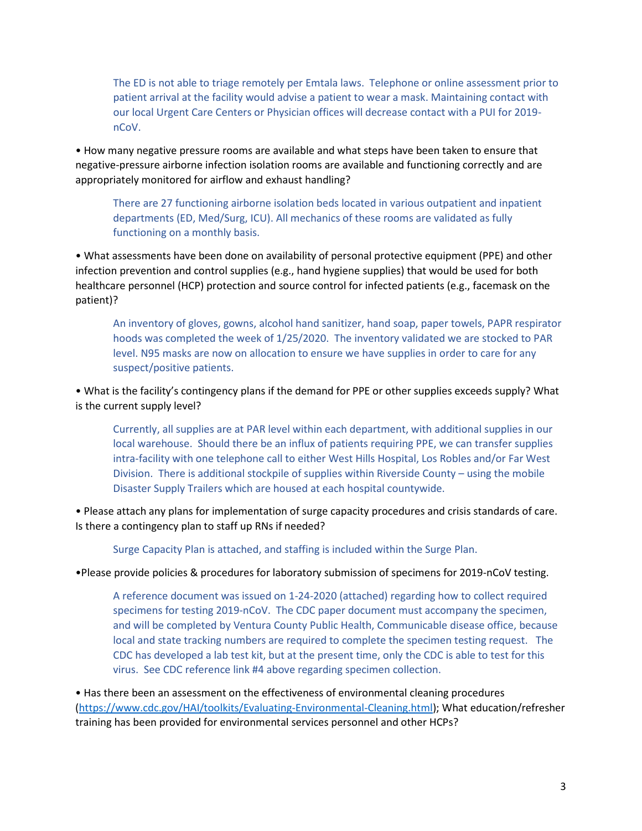The ED is not able to triage remotely per Emtala laws. Telephone or online assessment prior to patient arrival at the facility would advise a patient to wear a mask. Maintaining contact with our local Urgent Care Centers or Physician offices will decrease contact with a PUI for 2019 nCoV.

• How many negative pressure rooms are available and what steps have been taken to ensure that negative-pressure airborne infection isolation rooms are available and functioning correctly and are appropriately monitored for airflow and exhaust handling?

There are 27 functioning airborne isolation beds located in various outpatient and inpatient departments (ED, Med/Surg, ICU). All mechanics of these rooms are validated as fully functioning on a monthly basis.

• What assessments have been done on availability of personal protective equipment (PPE) and other infection prevention and control supplies (e.g., hand hygiene supplies) that would be used for both healthcare personnel (HCP) protection and source control for infected patients (e.g., facemask on the patient)?

An inventory of gloves, gowns, alcohol hand sanitizer, hand soap, paper towels, PAPR respirator hoods was completed the week of 1/25/2020. The inventory validated we are stocked to PAR level. N95 masks are now on allocation to ensure we have supplies in order to care for any suspect/positive patients.

• What is the facility's contingency plans if the demand for PPE or other supplies exceeds supply? What is the current supply level?

Currently, all supplies are at PAR level within each department, with additional supplies in our local warehouse. Should there be an influx of patients requiring PPE, we can transfer supplies intra-facility with one telephone call to either West Hills Hospital, Los Robles and/or Far West Division. There is additional stockpile of supplies within Riverside County – using the mobile Disaster Supply Trailers which are housed at each hospital countywide.

• Please attach any plans for implementation of surge capacity procedures and crisis standards of care. Is there a contingency plan to staff up RNs if needed?

Surge Capacity Plan is attached, and staffing is included within the Surge Plan.

•Please provide policies & procedures for laboratory submission of specimens for 2019-nCoV testing.

A reference document was issued on 1-24-2020 (attached) regarding how to collect required specimens for testing 2019-nCoV. The CDC paper document must accompany the specimen, and will be completed by Ventura County Public Health, Communicable disease office, because local and state tracking numbers are required to complete the specimen testing request. The CDC has developed a lab test kit, but at the present time, only the CDC is able to test for this virus. See CDC reference link #4 above regarding specimen collection.

• Has there been an assessment on the effectiveness of environmental cleaning procedures [\(https://www.cdc.gov/HAI/toolkits/Evaluating-Environmental-Cleaning.html\)](https://www.cdc.gov/HAI/toolkits/Evaluating-Environmental-Cleaning.html); What education/refresher training has been provided for environmental services personnel and other HCPs?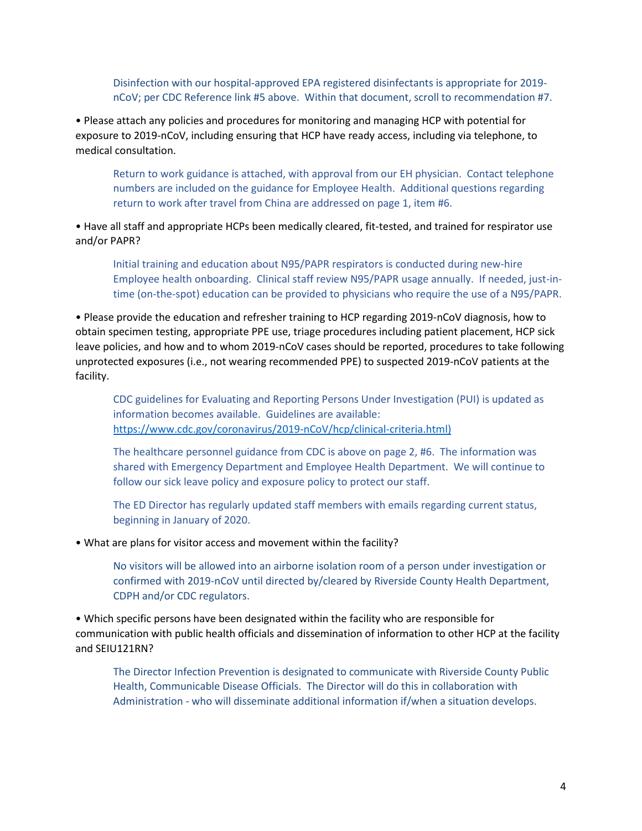Disinfection with our hospital-approved EPA registered disinfectants is appropriate for 2019 nCoV; per CDC Reference link #5 above. Within that document, scroll to recommendation #7.

• Please attach any policies and procedures for monitoring and managing HCP with potential for exposure to 2019-nCoV, including ensuring that HCP have ready access, including via telephone, to medical consultation.

Return to work guidance is attached, with approval from our EH physician. Contact telephone numbers are included on the guidance for Employee Health. Additional questions regarding return to work after travel from China are addressed on page 1, item #6.

• Have all staff and appropriate HCPs been medically cleared, fit-tested, and trained for respirator use and/or PAPR?

Initial training and education about N95/PAPR respirators is conducted during new-hire Employee health onboarding. Clinical staff review N95/PAPR usage annually. If needed, just-intime (on-the-spot) education can be provided to physicians who require the use of a N95/PAPR.

• Please provide the education and refresher training to HCP regarding 2019-nCoV diagnosis, how to obtain specimen testing, appropriate PPE use, triage procedures including patient placement, HCP sick leave policies, and how and to whom 2019-nCoV cases should be reported, procedures to take following unprotected exposures (i.e., not wearing recommended PPE) to suspected 2019-nCoV patients at the facility.

CDC guidelines for Evaluating and Reporting Persons Under Investigation (PUI) is updated as information becomes available. Guidelines are available: https://www.cdc.gov/coronavirus/2019-nCoV/hcp/clinical-criteria.html)

The healthcare personnel guidance from CDC is above on page 2, #6. The information was shared with Emergency Department and Employee Health Department. We will continue to follow our sick leave policy and exposure policy to protect our staff.

The ED Director has regularly updated staff members with emails regarding current status, beginning in January of 2020.

• What are plans for visitor access and movement within the facility?

No visitors will be allowed into an airborne isolation room of a person under investigation or confirmed with 2019-nCoV until directed by/cleared by Riverside County Health Department, CDPH and/or CDC regulators.

• Which specific persons have been designated within the facility who are responsible for communication with public health officials and dissemination of information to other HCP at the facility and SEIU121RN?

The Director Infection Prevention is designated to communicate with Riverside County Public Health, Communicable Disease Officials. The Director will do this in collaboration with Administration - who will disseminate additional information if/when a situation develops.